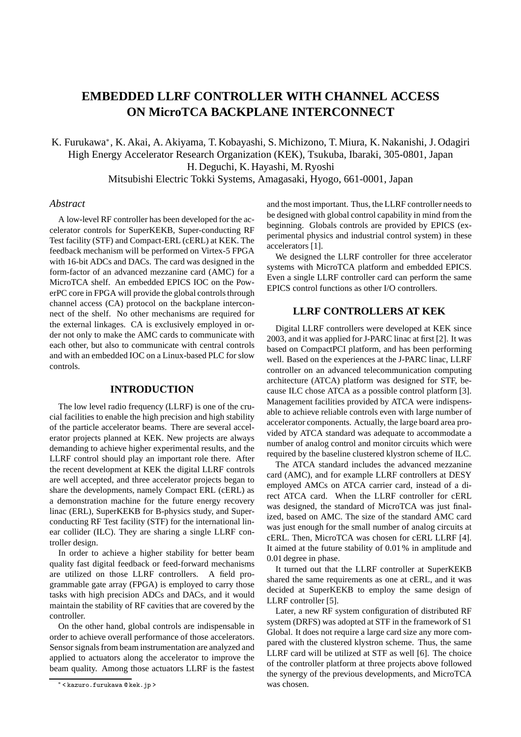# **EMBEDDED LLRF CONTROLLER WITH CHANNEL ACCESS ON MicroTCA BACKPLANE INTERCONNECT**

K. Furukawa<sup>∗</sup> , K. Akai, A. Akiyama, T. Kobayashi, S. Michizono, T. Miura, K. Nakanishi, J. Odagiri High Energy Accelerator Research Organization (KEK), Tsukuba, Ibaraki, 305-0801, Japan H. Deguchi, K. Hayashi, M. Ryoshi Mitsubishi Electric Tokki Systems, Amagasaki, Hyogo, 661-0001, Japan

#### *Abstract*

A low-level RF controller has been developed for the accelerator controls for SuperKEKB, Super-conducting RF Test facility (STF) and Compact-ERL (cERL) at KEK. The feedback mechanism will be performed on Virtex-5 FPGA with 16-bit ADCs and DACs. The card was designed in the form-factor of an advanced mezzanine card (AMC) for a MicroTCA shelf. An embedded EPICS IOC on the PowerPC core in FPGA will provide the global controls through channel access (CA) protocol on the backplane interconnect of the shelf. No other mechanisms are required for the external linkages. CA is exclusively employed in order not only to make the AMC cards to communicate with each other, but also to communicate with central controls and with an embedded IOC on a Linux-based PLC for slow controls.

## **INTRODUCTION**

The low level radio frequency (LLRF) is one of the crucial facilities to enable the high precision and high stability of the particle accelerator beams. There are several accelerator projects planned at KEK. New projects are always demanding to achieve higher experimental results, and the LLRF control should play an important role there. After the recent development at KEK the digital LLRF controls are well accepted, and three accelerator projects began to share the developments, namely Compact ERL (cERL) as a demonstration machine for the future energy recovery linac (ERL), SuperKEKB for B-physics study, and Superconducting RF Test facility (STF) for the international linear collider (ILC). They are sharing a single LLRF controller design.

In order to achieve a higher stability for better beam quality fast digital feedback or feed-forward mechanisms are utilized on those LLRF controllers. A field programmable gate array (FPGA) is employed to carry those tasks with high precision ADCs and DACs, and it would maintain the stability of RF cavities that are covered by the controller.

On the other hand, global controls are indispensable in order to achieve overall performance of those accelerators. Sensor signals from beam instrumentation are analyzed and applied to actuators along the accelerator to improve the beam quality. Among those actuators LLRF is the fastest and the most important. Thus, the LLRF controller needs to be designed with global control capability in mind from the beginning. Globals controls are provided by EPICS (experimental physics and industrial control system) in these accelerators [1].

We designed the LLRF controller for three accelerator systems with MicroTCA platform and embedded EPICS. Even a single LLRF controller card can perform the same EPICS control functions as other I/O controllers.

## **LLRF CONTROLLERS AT KEK**

Digital LLRF controllers were developed at KEK since 2003, and it was applied for J-PARC linac at first [2]. It was based on CompactPCI platform, and has been performing well. Based on the experiences at the J-PARC linac, LLRF controller on an advanced telecommunication computing architecture (ATCA) platform was designed for STF, because ILC chose ATCA as a possible control platform [3]. Management facilities provided by ATCA were indispensable to achieve reliable controls even with large number of accelerator components. Actually, the large board area provided by ATCA standard was adequate to accommodate a number of analog control and monitor circuits which were required by the baseline clustered klystron scheme of ILC.

The ATCA standard includes the advanced mezzanine card (AMC), and for example LLRF controllers at DESY employed AMCs on ATCA carrier card, instead of a direct ATCA card. When the LLRF controller for cERL was designed, the standard of MicroTCA was just finalized, based on AMC. The size of the standard AMC card was just enough for the small number of analog circuits at cERL. Then, MicroTCA was chosen for cERL LLRF [4]. It aimed at the future stability of 0.01 % in amplitude and 0.01 degree in phase.

It turned out that the LLRF controller at SuperKEKB shared the same requirements as one at cERL, and it was decided at SuperKEKB to employ the same design of LLRF controller [5].

Later, a new RF system configuration of distributed RF system (DRFS) was adopted at STF in the framework of S1 Global. It does not require a large card size any more compared with the clustered klystron scheme. Thus, the same LLRF card will be utilized at STF as well [6]. The choice of the controller platform at three projects above followed the synergy of the previous developments, and MicroTCA was chosen.

<sup>∗</sup> < kazuro.furukawa @ kek.jp >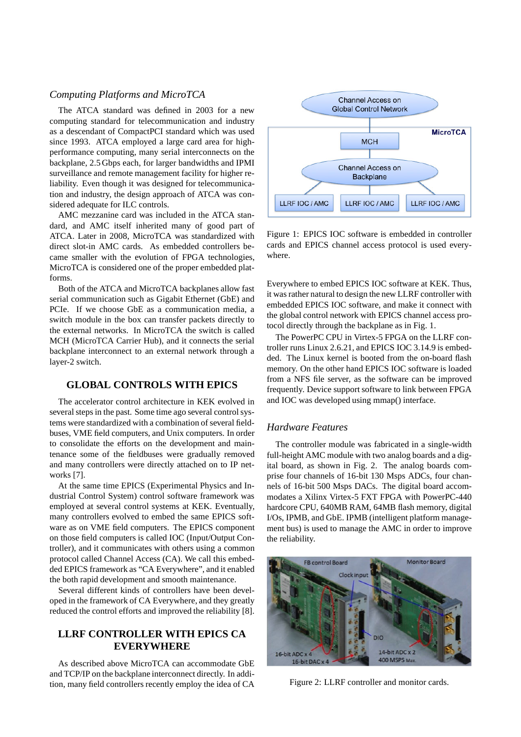## *Computing Platforms and MicroTCA*

The ATCA standard was defined in 2003 for a new computing standard for telecommunication and industry as a descendant of CompactPCI standard which was used since 1993. ATCA employed a large card area for highperformance computing, many serial interconnects on the backplane, 2.5 Gbps each, for larger bandwidths and IPMI surveillance and remote management facility for higher reliability. Even though it was designed for telecommunication and industry, the design approach of ATCA was considered adequate for ILC controls.

AMC mezzanine card was included in the ATCA standard, and AMC itself inherited many of good part of ATCA. Later in 2008, MicroTCA was standardized with direct slot-in AMC cards. As embedded controllers became smaller with the evolution of FPGA technologies, MicroTCA is considered one of the proper embedded platforms.

Both of the ATCA and MicroTCA backplanes allow fast serial communication such as Gigabit Ethernet (GbE) and PCIe. If we choose GbE as a communication media, a switch module in the box can transfer packets directly to the external networks. In MicroTCA the switch is called MCH (MicroTCA Carrier Hub), and it connects the serial backplane interconnect to an external network through a layer-2 switch.

## **GLOBAL CONTROLS WITH EPICS**

The accelerator control architecture in KEK evolved in several steps in the past. Some time ago several control systems were standardized with a combination of several fieldbuses, VME field computers, and Unix computers. In order to consolidate the efforts on the development and maintenance some of the fieldbuses were gradually removed and many controllers were directly attached on to IP networks [7].

At the same time EPICS (Experimental Physics and Industrial Control System) control software framework was employed at several control systems at KEK. Eventually, many controllers evolved to embed the same EPICS software as on VME field computers. The EPICS component on those field computers is called IOC (Input/Output Controller), and it communicates with others using a common protocol called Channel Access (CA). We call this embedded EPICS framework as "CA Everywhere", and it enabled the both rapid development and smooth maintenance.

Several different kinds of controllers have been developed in the framework of CA Everywhere, and they greatly reduced the control efforts and improved the reliability [8].

# **LLRF CONTROLLER WITH EPICS CA EVERYWHERE**

As described above MicroTCA can accommodate GbE and TCP/IP on the backplane interconnect directly. In addition, many field controllers recently employ the idea of CA



Figure 1: EPICS IOC software is embedded in controller cards and EPICS channel access protocol is used everywhere.

Everywhere to embed EPICS IOC software at KEK. Thus, it was rather natural to design the new LLRF controller with embedded EPICS IOC software, and make it connect with the global control network with EPICS channel access protocol directly through the backplane as in Fig. 1.

The PowerPC CPU in Virtex-5 FPGA on the LLRF controller runs Linux 2.6.21, and EPICS IOC 3.14.9 is embedded. The Linux kernel is booted from the on-board flash memory. On the other hand EPICS IOC software is loaded from a NFS file server, as the software can be improved frequently. Device support software to link between FPGA and IOC was developed using mmap() interface.

## *Hardware Features*

The controller module was fabricated in a single-width full-height AMC module with two analog boards and a digital board, as shown in Fig. 2. The analog boards comprise four channels of 16-bit 130 Msps ADCs, four channels of 16-bit 500 Msps DACs. The digital board accommodates a Xilinx Virtex-5 FXT FPGA with PowerPC-440 hardcore CPU, 640MB RAM, 64MB flash memory, digital I/Os, IPMB, and GbE. IPMB (intelligent platform management bus) is used to manage the AMC in order to improve the reliability.



Figure 2: LLRF controller and monitor cards.